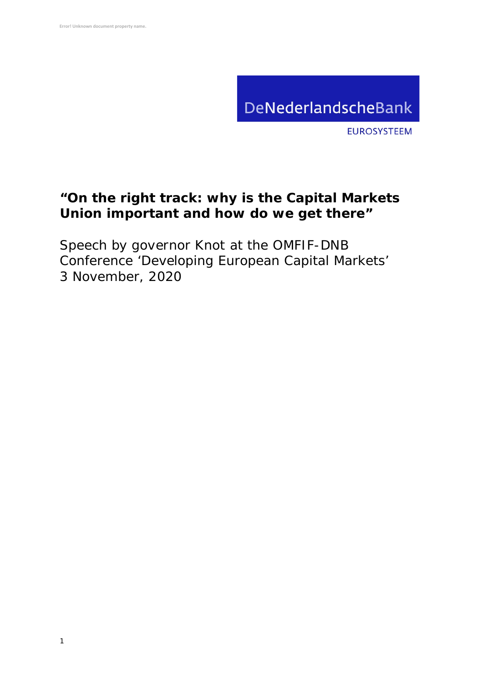

**EUROSYSTEEM** 

## **"On the right track: why is the Capital Markets Union important and how do we get there"**

Speech by governor Knot at the OMFIF-DNB Conference 'Developing European Capital Markets' 3 November, 2020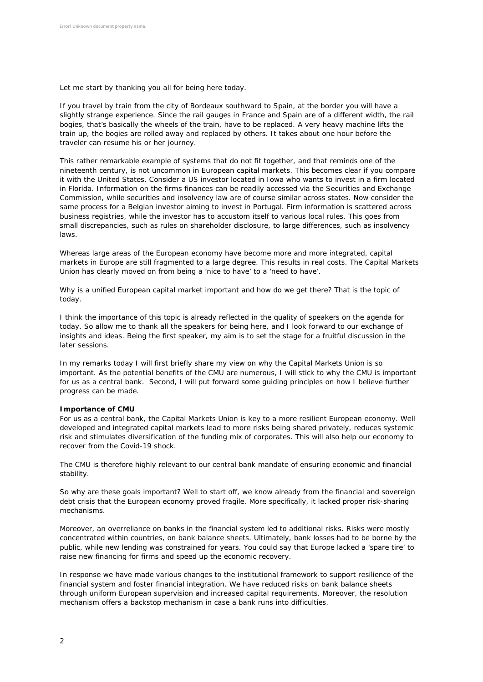Let me start by thanking you all for being here today.

If you travel by train from the city of Bordeaux southward to Spain, at the border you will have a slightly strange experience. Since the rail gauges in France and Spain are of a different width, the rail bogies, that's basically the wheels of the train, have to be replaced. A very heavy machine lifts the train up, the bogies are rolled away and replaced by others. It takes about one hour before the traveler can resume his or her journey.

This rather remarkable example of systems that do not fit together, and that reminds one of the nineteenth century, is not uncommon in European capital markets. This becomes clear if you compare it with the United States. Consider a US investor located in Iowa who wants to invest in a firm located in Florida. Information on the firms finances can be readily accessed via the Securities and Exchange Commission, while securities and insolvency law are of course similar across states. Now consider the same process for a Belgian investor aiming to invest in Portugal. Firm information is scattered across business registries, while the investor has to accustom itself to various local rules. This goes from small discrepancies, such as rules on shareholder disclosure, to large differences, such as insolvency laws.

Whereas large areas of the European economy have become more and more integrated, capital markets in Europe are still fragmented to a large degree. This results in real costs. The Capital Markets Union has clearly moved on from being a 'nice to have' to a 'need to have'.

Why is a unified European capital market important and how do we get there? That is the topic of today.

I think the importance of this topic is already reflected in the quality of speakers on the agenda for today. So allow me to thank all the speakers for being here, and I look forward to our exchange of insights and ideas. Being the first speaker, my aim is to set the stage for a fruitful discussion in the later sessions.

In my remarks today I will first briefly share my view on why the Capital Markets Union is so important. As the potential benefits of the CMU are numerous, I will stick to why the CMU is important for us as a central bank. Second, I will put forward some guiding principles on how I believe further progress can be made.

## **Importance of CMU**

For us as a central bank, the Capital Markets Union is key to a more resilient European economy. Well developed and integrated capital markets lead to more risks being shared privately, reduces systemic risk and stimulates diversification of the funding mix of corporates. This will also help our economy to recover from the Covid-19 shock.

The CMU is therefore highly relevant to our central bank mandate of ensuring economic and financial stability.

So why are these goals important? Well to start off, we know already from the financial and sovereign debt crisis that the European economy proved fragile. More specifically, it lacked proper risk-sharing mechanisms.

Moreover, an overreliance on banks in the financial system led to additional risks. Risks were mostly concentrated within countries, on bank balance sheets. Ultimately, bank losses had to be borne by the public, while new lending was constrained for years. You could say that Europe lacked a 'spare tire' to raise new financing for firms and speed up the economic recovery.

In response we have made various changes to the institutional framework to support resilience of the financial system and foster financial integration. We have reduced risks on bank balance sheets through uniform European supervision and increased capital requirements. Moreover, the resolution mechanism offers a backstop mechanism in case a bank runs into difficulties.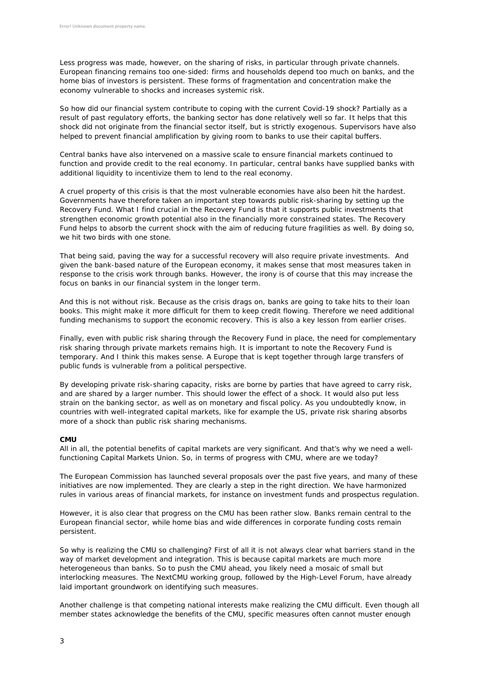Less progress was made, however, on the sharing of risks, in particular through private channels. European financing remains too one-sided: firms and households depend too much on banks, and the home bias of investors is persistent. These forms of fragmentation and concentration make the economy vulnerable to shocks and increases systemic risk.

So how did our financial system contribute to coping with the current Covid-19 shock? Partially as a result of past regulatory efforts, the banking sector has done relatively well so far. It helps that this shock did not originate from the financial sector itself, but is strictly exogenous. Supervisors have also helped to prevent financial amplification by giving room to banks to use their capital buffers.

Central banks have also intervened on a massive scale to ensure financial markets continued to function and provide credit to the real economy. In particular, central banks have supplied banks with additional liquidity to incentivize them to lend to the real economy.

A cruel property of this crisis is that the most vulnerable economies have also been hit the hardest. Governments have therefore taken an important step towards public risk-sharing by setting up the Recovery Fund. What I find crucial in the Recovery Fund is that it supports public investments that strengthen economic growth potential also in the financially more constrained states. The Recovery Fund helps to absorb the current shock with the aim of reducing future fragilities as well. By doing so, we hit two birds with one stone.

That being said, paving the way for a successful recovery will also require private investments. And given the bank-based nature of the European economy, it makes sense that most measures taken in response to the crisis work through banks. However, the irony is of course that this may increase the focus on banks in our financial system in the longer term.

And this is not without risk. Because as the crisis drags on, banks are going to take hits to their loan books. This might make it more difficult for them to keep credit flowing. Therefore we need additional funding mechanisms to support the economic recovery. This is also a key lesson from earlier crises.

Finally, even with public risk sharing through the Recovery Fund in place, the need for complementary risk sharing through private markets remains high. It is important to note the Recovery Fund is temporary. And I think this makes sense. A Europe that is kept together through large transfers of public funds is vulnerable from a political perspective.

By developing private risk-sharing capacity, risks are borne by parties that have agreed to carry risk, and are shared by a larger number. This should lower the effect of a shock. It would also put less strain on the banking sector, as well as on monetary and fiscal policy. As you undoubtedly know, in countries with well-integrated capital markets, like for example the US, private risk sharing absorbs more of a shock than public risk sharing mechanisms.

## **CMU**

All in all, the potential benefits of capital markets are very significant. And that's why we need a wellfunctioning Capital Markets Union. So, in terms of progress with CMU, where are we today?

The European Commission has launched several proposals over the past five years, and many of these initiatives are now implemented. They are clearly a step in the right direction. We have harmonized rules in various areas of financial markets, for instance on investment funds and prospectus regulation.

However, it is also clear that progress on the CMU has been rather slow. Banks remain central to the European financial sector, while home bias and wide differences in corporate funding costs remain persistent.

So why is realizing the CMU so challenging? First of all it is not always clear what barriers stand in the way of market development and integration. This is because capital markets are much more heterogeneous than banks. So to push the CMU ahead, you likely need a mosaic of small but interlocking measures. The NextCMU working group, followed by the High-Level Forum, have already laid important groundwork on identifying such measures.

Another challenge is that competing national interests make realizing the CMU difficult. Even though all member states acknowledge the benefits of the CMU, specific measures often cannot muster enough